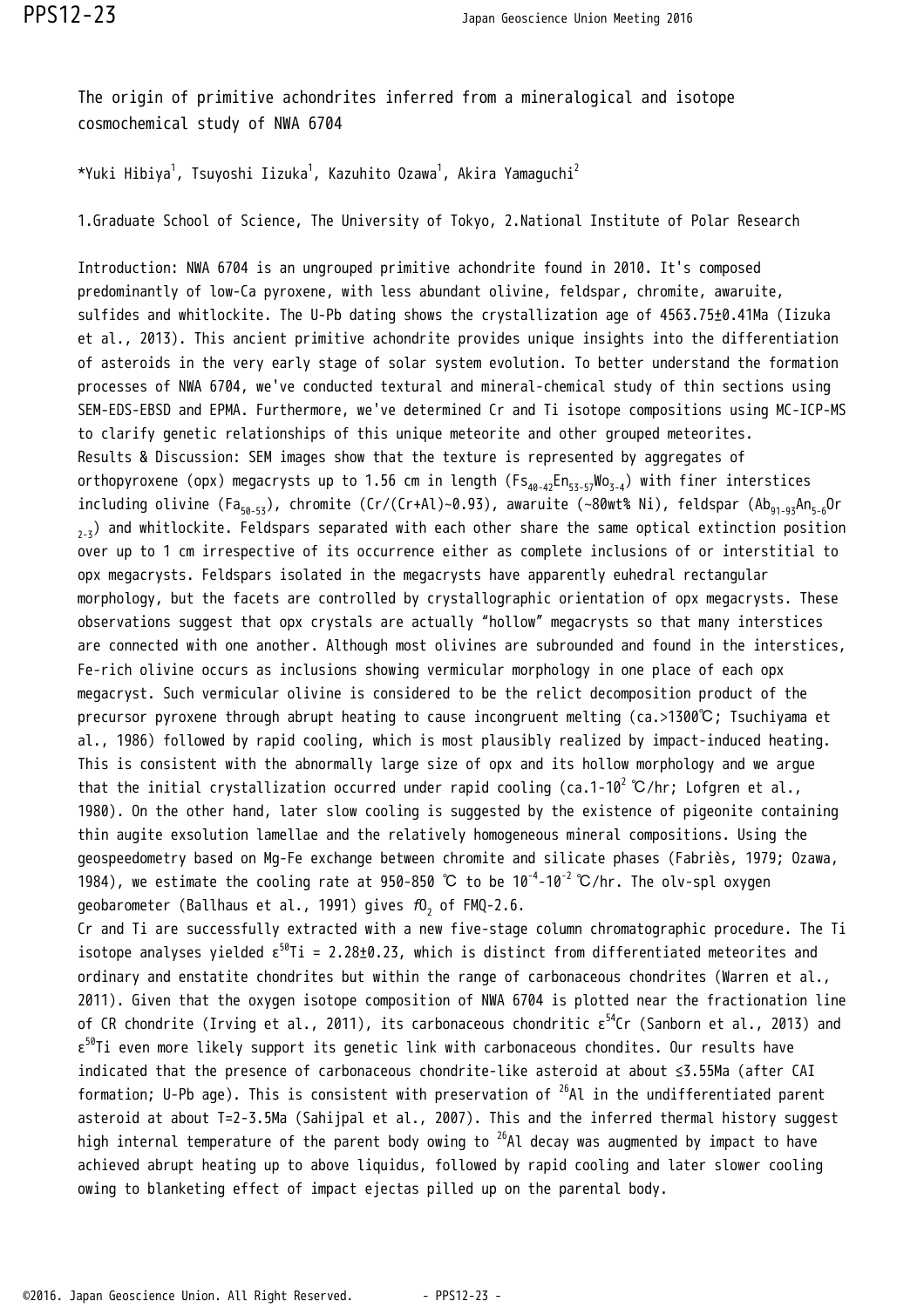The origin of primitive achondrites inferred from a mineralogical and isotope cosmochemical study of NWA 6704

\*Yuki Hibiya $^1$ , Tsuyoshi Iizuka $^1$ , Kazuhito Ozawa $^1$ , Akira Yamaquchi $^2$ 

1.Graduate School of Science, The University of Tokyo, 2.National Institute of Polar Research

Introduction: NWA 6704 is an ungrouped primitive achondrite found in 2010. It's composed predominantly of low-Ca pyroxene, with less abundant olivine, feldspar, chromite, awaruite, sulfides and whitlockite. The U-Pb dating shows the crystallization age of 4563.75±0.41Ma (Iizuka et al., 2013). This ancient primitive achondrite provides unique insights into the differentiation of asteroids in the very early stage of solar system evolution. To better understand the formation processes of NWA 6704, we've conducted textural and mineral-chemical study of thin sections using SEM-EDS-EBSD and EPMA. Furthermore, we've determined Cr and Ti isotope compositions using MC-ICP-MS to clarify genetic relationships of this unique meteorite and other grouped meteorites. Results & Discussion: SEM images show that the texture is represented by aggregates of orthopyroxene (opx) megacrysts up to 1.56 cm in length ( $F_{40,42}En_{53-57}WO_{7,4}$ ) with finer interstices including olivine (Fa<sub>50-53</sub>), chromite (Cr/(Cr+Al)~0.93), awaruite (~80wt% Ni), feldspar (Ab<sub>91-93</sub>An<sub>5-6</sub>Or  $2.3$ ) and whitlockite. Feldspars separated with each other share the same optical extinction position over up to 1 cm irrespective of its occurrence either as complete inclusions of or interstitial to opx megacrysts. Feldspars isolated in the megacrysts have apparently euhedral rectangular morphology, but the facets are controlled by crystallographic orientation of opx megacrysts. These observations suggest that opx crystals are actually "hollow" megacrysts so that many interstices are connected with one another. Although most olivines are subrounded and found in the interstices, Fe-rich olivine occurs as inclusions showing vermicular morphology in one place of each opx megacryst. Such vermicular olivine is considered to be the relict decomposition product of the precursor pyroxene through abrupt heating to cause incongruent melting (ca.>1300℃; Tsuchiyama et al., 1986) followed by rapid cooling, which is most plausibly realized by impact-induced heating. This is consistent with the abnormally large size of opx and its hollow morphology and we argue that the initial crystallization occurred under rapid cooling (ca.1-10<sup>2</sup> °C/hr; Lofgren et al., 1980). On the other hand, later slow cooling is suggested by the existence of pigeonite containing thin augite exsolution lamellae and the relatively homogeneous mineral compositions. Using the geospeedometry based on Mg-Fe exchange between chromite and silicate phases (Fabriès, 1979; Ozawa, 1984), we estimate the cooling rate at 950-850 ℃ to be 10<sup>-4</sup>-10<sup>-2</sup> ℃/hr. The olv-spl oxyqen geobarometer (Ballhaus et al., 1991) gives  $\textit{f0}_{\text{2}}$  of FMQ-2.6.

Cr and Ti are successfully extracted with a new five-stage column chromatographic procedure. The Ti isotope analyses yielded  $\epsilon^{50}$ Ti = 2.28±0.23, which is distinct from differentiated meteorites and ordinary and enstatite chondrites but within the range of carbonaceous chondrites (Warren et al., 2011). Given that the oxygen isotope composition of NWA 6704 is plotted near the fractionation line of CR chondrite (Irving et al., 2011), its carbonaceous chondritic  $\epsilon^{54}$ Cr (Sanborn et al., 2013) and  $\varepsilon^{59}$ Ti even more likely support its genetic link with carbonaceous chondites. Our results have indicated that the presence of carbonaceous chondrite-like asteroid at about ≤3.55Ma (after CAI formation; U-Pb age). This is consistent with preservation of  $^{26}$ Al in the undifferentiated parent asteroid at about T=2-3.5Ma (Sahijpal et al., 2007). This and the inferred thermal history suggest high internal temperature of the parent body owing to  $^{26}$ Al decay was augmented by impact to have achieved abrupt heating up to above liquidus, followed by rapid cooling and later slower cooling owing to blanketing effect of impact ejectas pilled up on the parental body.